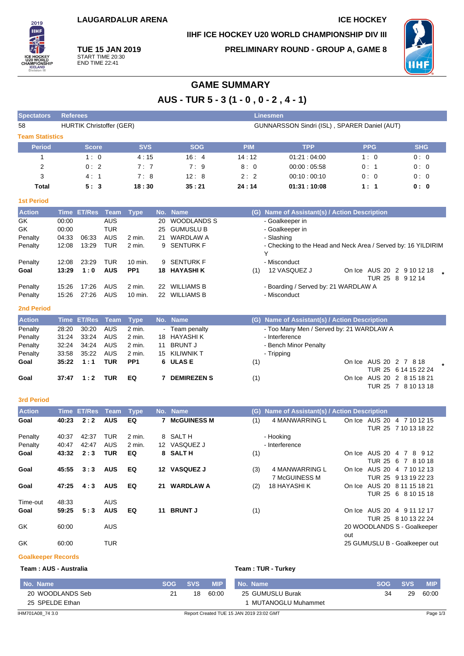## **IIHF ICE HOCKEY U20 WORLD CHAMPIONSHIP DIV III**



**TUE 15 JAN 2019** START TIME 20:30 END TIME 22:41

**PRELIMINARY ROUND - GROUP A, GAME 8**



# **GAME SUMMARY**

**AUS - TUR 5 - 3 (1 - 0 , 0 - 2 , 4 - 1)**

| <b>Spectators</b>      | <b>Referees</b><br><b>Linesmen</b> |            |            |                                              |             |            |            |  |  |  |  |  |  |
|------------------------|------------------------------------|------------|------------|----------------------------------------------|-------------|------------|------------|--|--|--|--|--|--|
| 58                     | <b>HURTIK Christoffer (GER)</b>    |            |            | GUNNARSSON Sindri (ISL), SPARER Daniel (AUT) |             |            |            |  |  |  |  |  |  |
| <b>Team Statistics</b> |                                    |            |            |                                              |             |            |            |  |  |  |  |  |  |
| <b>Period</b>          | <b>Score</b>                       | <b>SVS</b> | <b>SOG</b> | <b>PIM</b>                                   | <b>TPP</b>  | <b>PPG</b> | <b>SHG</b> |  |  |  |  |  |  |
|                        | 1:0                                | 4:15       | 16:4       | 14:12                                        | 01:21:04:00 | 1:0        | 0:0        |  |  |  |  |  |  |
| 2                      | 0:2                                | 7:7        | 7:9        | 8:0                                          | 00:00:05:58 | 0:1        | 0:0        |  |  |  |  |  |  |
| 3                      | 4:1                                | 7:8        | 12:8       | 2:2                                          | 00:10:00:10 | 0:0        | 0:0        |  |  |  |  |  |  |
| <b>Total</b>           | 5:3                                | 18:30      | 35:21      | 24:14                                        | 01:31:10:08 | 1:1        | 0: 0       |  |  |  |  |  |  |

### **1st Period**

| <b>Action</b>                  |                                  | Time ET/Res Team Type |                                               |                                       |                 | No. Name                                                    | (G) Name of Assistant(s) / Action Description                                                                          |
|--------------------------------|----------------------------------|-----------------------|-----------------------------------------------|---------------------------------------|-----------------|-------------------------------------------------------------|------------------------------------------------------------------------------------------------------------------------|
| GK<br>GK<br>Penalty<br>Penalty | 00:00<br>00:00<br>04:33<br>12:08 | 06.33<br>13:29        | <b>AUS</b><br><b>TUR</b><br><b>AUS</b><br>TUR | $2$ min.<br>2 min.                    | 20<br>25<br>21. | WOODLANDS S<br><b>GUMUSLU B</b><br>WARDLAW A<br>9 SENTURK F | - Goalkeeper in<br>- Goalkeeper in<br>- Slashing<br>- Checking to the Head and Neck Area / Served by: 16 YILDIRIM<br>v |
| Penalty<br>Goal                | 12:08<br>13:29                   | 23:29<br>1:0          | TUR<br><b>AUS</b>                             | $10 \text{ min}$ .<br>PP <sub>1</sub> | 9               | <b>SENTURK F</b><br><b>18 HAYASHIK</b>                      | - Misconduct<br>12 VASQUEZ J<br>On Ice AUS 20 2 9 10 12 18<br>(1)<br>TUR 25<br>8 9 1 2 1 4                             |
| Penalty<br>Penalty             | 15:26<br>15:26                   | 17:26<br>27:26        | <b>AUS</b><br><b>AUS</b>                      | $2$ min.<br>10 min.                   | 22<br>22        | <b>WILLIAMS B</b><br><b>WILLIAMS B</b>                      | - Boarding / Served by: 21 WARDLAW A<br>- Misconduct                                                                   |

#### **2nd Period**

| <b>Action</b> |       | Time ET/Res Team Type |            |                 |    | No. Name           | (G) Name of Assistant(s) / Action Description |  |
|---------------|-------|-----------------------|------------|-----------------|----|--------------------|-----------------------------------------------|--|
| Penalty       | 28:20 | 30:20                 | <b>AUS</b> | 2 min.          |    | - Team penalty     | - Too Many Men / Served by: 21 WARDLAW A      |  |
| Penalty       | 31:24 | 33:24                 | <b>AUS</b> | 2 min.          |    | 18 HAYASHIK        | - Interference                                |  |
| Penalty       | 32:24 | 34:24                 | <b>AUS</b> | 2 min.          | 11 | <b>BRUNT J</b>     | - Bench Minor Penalty                         |  |
| Penalty       | 33:58 | 35:22                 | <b>AUS</b> | 2 min.          |    | 15 KILIWNIK T      | - Tripping                                    |  |
| Goal          | 35:22 | 1:1                   | <b>TUR</b> | PP <sub>1</sub> |    | 6 ULAS E           | On Ice AUS 20 2 7 8 18                        |  |
|               |       |                       |            |                 |    |                    | TUR 25 6 14 15 22 24                          |  |
| Goal          | 37:47 | 1:2                   | TUR        | EQ              |    | <b>DEMIREZEN S</b> | On Ice AUS 20 2 8 15 18 21<br>(1)             |  |
|               |       |                       |            |                 |    |                    | TUR 25 7 8 10 13 18                           |  |

### **3rd Period**

| <b>Action</b> |       | Time ET/Res | Team       | Type     |    | No. Name         | (G) | Name of Assistant(s) / Action Description |        |                               |
|---------------|-------|-------------|------------|----------|----|------------------|-----|-------------------------------------------|--------|-------------------------------|
| Goal          | 40:23 | 2:2         | <b>AUS</b> | EQ       |    | 7 McGUINESS M    | (1) | 4 MANWARRING L                            |        | On Ice AUS 20 4 7 10 12 15    |
|               |       |             |            |          |    |                  |     |                                           |        | TUR 25 7 10 13 18 22          |
| Penalty       | 40:37 | 42:37       | <b>TUR</b> | $2$ min. |    | 8 SALTH          |     | - Hooking                                 |        |                               |
| Penalty       | 40:47 | 42:47       | <b>AUS</b> | 2 min.   |    | 12 VASQUEZ J     |     | - Interference                            |        |                               |
| Goal          | 43:32 | 2:3         | <b>TUR</b> | EQ       |    | 8 SALTH          | (1) |                                           | On Ice | AUS 20 4 7 8 9 12             |
|               |       |             |            |          |    |                  |     |                                           |        | TUR 25 6 7 8 10 18            |
| Goal          | 45:55 | 3:3         | <b>AUS</b> | EQ       | 12 | <b>VASQUEZ J</b> | (3) | 4 MANWARRING L                            | On Ice | AUS 20 4 7 10 12 13           |
|               |       |             |            |          |    |                  |     | 7 McGUINESS M                             |        | TUR 25 9 13 19 22 23          |
| Goal          | 47:25 | 4:3         | <b>AUS</b> | EQ       | 21 | <b>WARDLAW A</b> | (2) | <b>18 HAYASHI K</b>                       | On Ice | AUS 20 8 11 15 18 21          |
|               |       |             |            |          |    |                  |     |                                           |        | TUR 25 6 8 10 15 18           |
| Time-out      | 48:33 |             | <b>AUS</b> |          |    |                  |     |                                           |        |                               |
| Goal          | 59:25 | 5:3         | <b>AUS</b> | EQ       | 11 | <b>BRUNT J</b>   | (1) |                                           |        | On Ice AUS 20 4 9 11 12 17    |
|               |       |             |            |          |    |                  |     |                                           |        | TUR 25 8 10 13 22 24          |
| GK            | 60:00 |             | <b>AUS</b> |          |    |                  |     |                                           |        | 20 WOODLANDS S - Goalkeeper   |
|               |       |             |            |          |    |                  |     |                                           | out    |                               |
| GK            | 60:00 |             | TUR        |          |    |                  |     |                                           |        | 25 GUMUSLU B - Goalkeeper out |

**Goalkeeper Records**

#### **Team : AUS - Australia Team : TUR - Turkey**

| l No. Name                          | <b>SOG</b> | <b>SVS</b> | <b>MIP</b> | No. Name                                 | <b>SOG</b> | <b>SVS</b> | <b>MIP</b> |
|-------------------------------------|------------|------------|------------|------------------------------------------|------------|------------|------------|
| 20 WOODLANDS Seb<br>25 SPELDE Ethan | 21         | 18         | 60:00      | 25 GUMUSLU Burak<br>MUTANOGLU Muhammet   | 34         | 29         | 60:00      |
| IHM701A08 74 3.0                    |            |            |            | Report Created TUE 15 JAN 2019 23:02 GMT |            |            | Page 1/3   |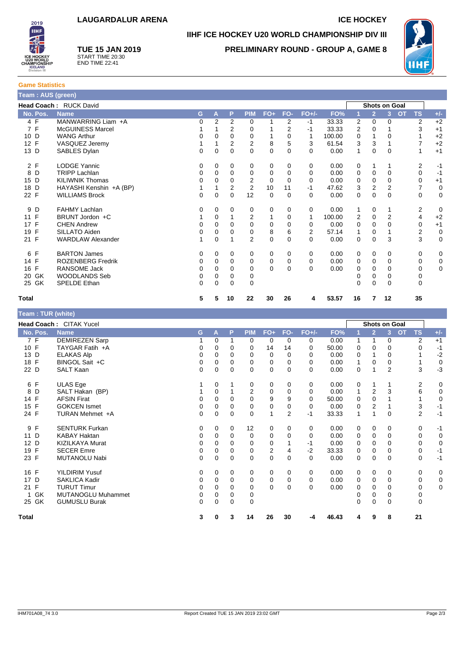







**Game Statistics**

**TUE 15 JAN 2019** START TIME 20:30 END TIME 22:41

| Team : AUS (green) |                               |             |             |                |                |             |          |          |        |                |                |                      |                        |             |
|--------------------|-------------------------------|-------------|-------------|----------------|----------------|-------------|----------|----------|--------|----------------|----------------|----------------------|------------------------|-------------|
|                    | <b>Head Coach: RUCK David</b> |             |             |                |                |             |          |          |        |                |                | <b>Shots on Goal</b> |                        |             |
| No. Pos.           | <b>Name</b>                   | G.          | A           | P              | <b>PIM</b>     | $FO+$       | FO-      | $FO+/-$  | FO%    |                | $\overline{2}$ | 3                    | <b>TS</b><br><b>OT</b> | $+/-$       |
| 4 F                | MANWARRING Liam +A            | 0           | 2           | 2              | 0              |             | 2        | -1       | 33.33  | $\overline{2}$ | 0              | 0                    | 2                      | $+2$        |
| 7 F                | <b>McGUINESS Marcel</b>       |             |             | $\overline{2}$ | $\Omega$       |             | 2        | -1       | 33.33  | $\overline{2}$ | $\Omega$       |                      | 3                      | $+1$        |
| 10 D               | <b>WANG Arthur</b>            | 0           | 0           | 0              | 0              |             | 0        |          | 100.00 | 0              |                | 0                    |                        | $+2$        |
| 12 F               | VASQUEZ Jeremy                |             |             | 2              | 2              | 8           | 5        | 3        | 61.54  | 3              | 3              |                      | 7                      | $+2$        |
| 13 D               | SABLES Dylan                  | 0           | $\mathbf 0$ | $\Omega$       | $\Omega$       | 0           | $\Omega$ | $\Omega$ | 0.00   | $\mathbf{1}$   | 0              | $\Omega$             | 1                      | $+1$        |
| 2 F                | <b>LODGE Yannic</b>           | 0           | 0           | 0              | 0              | 0           | 0        | 0        | 0.00   | 0              | 1              | 1                    | 2                      | $-1$        |
| 8<br>D             | <b>TRIPP Lachlan</b>          | 0           | 0           | 0              | 0              | 0           | 0        | 0        | 0.00   | 0              | 0              | 0                    | 0                      | $-1$        |
| 15 D               | <b>KILIWNIK Thomas</b>        | 0           | $\Omega$    | $\Omega$       | 2              | $\Omega$    | $\Omega$ | $\Omega$ | 0.00   | 0              | $\Omega$       | 0                    | $\Omega$               | $+1$        |
| 18 D               | HAYASHI Kenshin +A (BP)       |             |             | $\overline{2}$ | $\overline{2}$ | 10          | 11       | -1       | 47.62  | 3              | 2              | 2                    | $\overline{7}$         | 0           |
| 22 F               | <b>WILLIAMS Brock</b>         | $\mathbf 0$ | $\mathbf 0$ | 0              | 12             | $\mathbf 0$ | 0        | $\Omega$ | 0.00   | 0              | 0              | $\Omega$             | $\mathbf 0$            | 0           |
| 9<br>D             | <b>FAHMY Lachlan</b>          | 0           | 0           | 0              | 0              | 0           | 0        | 0        | 0.00   | 1              | $\mathbf 0$    | 1                    | 2                      | $\mathbf 0$ |
| 11 F               | BRUNT Jordon +C               |             | 0           |                | 2              | 1           | 0        |          | 100.00 | $\overline{2}$ | $\Omega$       | $\overline{2}$       | 4                      | $+2$        |
| $\mathsf{F}$<br>17 | <b>CHEN Andrew</b>            | 0           | $\Omega$    | 0              | $\Omega$       | 0           | 0        | $\Omega$ | 0.00   | $\mathbf 0$    | 0              | $\Omega$             | 0                      | $+1$        |
| F<br>19            | SILLATO Aiden                 | 0           | 0           | 0              | $\Omega$       | 8           | 6        | 2        | 57.14  | 1              | 0              | 1                    | 2                      | 0           |
| $\mathsf{F}$<br>21 | <b>WARDLAW Alexander</b>      |             | $\Omega$    | 1              | $\overline{2}$ | 0           | $\Omega$ | $\Omega$ | 0.00   | 0              | 0              | 3                    | 3                      | 0           |
| F<br>6             | <b>BARTON James</b>           | 0           | 0           | 0              | 0              | 0           | 0        | 0        | 0.00   | 0              | 0              | 0                    | 0                      | 0           |
| 14 F               | <b>ROZENBERG Fredrik</b>      | 0           | $\Omega$    | $\Omega$       | $\Omega$       | 0           | 0        | 0        | 0.00   | 0              | $\mathbf 0$    | 0                    | 0                      | 0           |
| 16 F               | <b>RANSOME Jack</b>           | 0           | 0           | 0              | 0              | $\Omega$    | 0        | $\Omega$ | 0.00   | 0              | 0              | $\Omega$             | 0                      | $\mathbf 0$ |
| 20 GK              | <b>WOODLANDS Seb</b>          | 0           | $\Omega$    | 0              | 0              |             |          |          |        | 0              | 0              | 0                    | 0                      |             |
| 25 GK              | <b>SPELDE Ethan</b>           | $\Omega$    | $\Omega$    | $\Omega$       | $\Omega$       |             |          |          |        | $\Omega$       | $\Omega$       | $\Omega$             | 0                      |             |
| Total              |                               | 5           | 5           | 10             | 22             | 30          | 26       | 4        | 53.57  | 16             | 7              | 12                   | 35                     |             |

| Team : TUR (white)      |                           |          |          |             |                   |                         |                |          |       |                      |                |                |           |                |       |
|-------------------------|---------------------------|----------|----------|-------------|-------------------|-------------------------|----------------|----------|-------|----------------------|----------------|----------------|-----------|----------------|-------|
| Head Coach: CITAK Yucel |                           |          |          |             |                   |                         |                |          |       | <b>Shots on Goal</b> |                |                |           |                |       |
| No. Pos.                | <b>Name</b>               | G        | A        | P           | <b>PIM</b>        | $FO+$                   | FO-            | $FO+/-$  | FO%   |                      | $\overline{2}$ | 3              | <b>OT</b> | <b>TS</b>      | $+/-$ |
| 7 F                     | <b>DEMIREZEN Sarp</b>     |          | $\Omega$ |             | 0                 | 0                       | 0              | 0        | 0.00  | 1                    | 1              | 0              |           | 2              | $+1$  |
| 10 F                    | TAYGAR Fatih +A           | 0        | $\Omega$ | $\Omega$    | $\Omega$          | 14                      | 14             | 0        | 50.00 | 0                    | 0              | 0              |           | $\Omega$       | $-1$  |
| D<br>13                 | <b>ELAKAS Alp</b>         | 0        | $\Omega$ | $\Omega$    | 0                 | 0                       | $\Omega$       | $\Omega$ | 0.00  | 0                    |                | 0              |           |                | $-2$  |
| 18 F                    | BINGOL Sait +C            | 0        | 0        | 0           | 0                 | 0                       | 0              | 0        | 0.00  |                      | 0              | 0              |           |                | 0     |
| 22 D                    | SALT Kaan                 | 0        | $\Omega$ | $\Omega$    | 0                 | 0                       | 0              | $\Omega$ | 0.00  | 0                    |                | $\overline{2}$ |           | 3              | $-3$  |
| 6 F                     | ULAS Ege                  |          | 0        |             | 0                 | 0                       | 0              | 0        | 0.00  | 0                    |                | 1              |           | 2              | 0     |
| D<br>8                  | SALT Hakan (BP)           |          | $\Omega$ |             | 2                 | 0                       | $\Omega$       | $\Omega$ | 0.00  | 1                    | 2              | 3              |           | 6              | 0     |
| 14 F                    | <b>AFSIN Firat</b>        | 0        | $\Omega$ | 0           | $\Omega$          | 9                       | 9              | $\Omega$ | 50.00 | 0                    | $\Omega$       |                |           |                | 0     |
| F<br>15                 | <b>GOKCEN Ismet</b>       | 0        | $\Omega$ | $\Omega$    | 0                 | 0                       | $\Omega$       | 0        | 0.00  | 0                    | $\overline{2}$ |                |           | 3              | $-1$  |
| 24 F                    | TURAN Mehmet +A           | 0        | 0        | $\mathbf 0$ | $\Omega$          | 1                       | $\overline{2}$ | $-1$     | 33.33 | 1                    |                | 0              |           | $\overline{2}$ | $-1$  |
| 9 F                     | <b>SENTURK Furkan</b>     | 0        | 0        | 0           | $12 \overline{ }$ | 0                       | 0              | 0        | 0.00  | 0                    | 0              | 0              |           | 0              | $-1$  |
| D<br>11                 | <b>KABAY Haktan</b>       | 0        | $\Omega$ | $\Omega$    | 0                 | 0                       | 0              | 0        | 0.00  | 0                    | 0              | 0              |           | 0              | 0     |
| 12 D                    | <b>KIZILKAYA Murat</b>    | 0        | $\Omega$ | $\Omega$    | $\Omega$          | 0                       |                | $-1$     | 0.00  | 0                    | 0              | 0              |           | 0              | 0     |
| F<br>19                 | <b>SECER Emre</b>         | 0        | 0        | $\Omega$    | 0                 | $\overline{\mathbf{c}}$ | 4              | $-2$     | 33.33 | $\mathbf 0$          | 0              | 0              |           | 0              | $-1$  |
| 23 F                    | MUTANOLU Nabi             | 0        | $\Omega$ | $\Omega$    | $\Omega$          | 0                       | $\Omega$       | $\Omega$ | 0.00  | 0                    | $\Omega$       | 0              |           | 0              | $-1$  |
| 16 F                    | <b>YILDIRIM Yusuf</b>     | 0        | 0        | 0           | 0                 | 0                       | 0              | 0        | 0.00  | 0                    | 0              | 0              |           | 0              | 0     |
| 17 D                    | <b>SAKLICA Kadir</b>      | $\Omega$ | $\Omega$ | $\Omega$    | $\mathbf 0$       | 0                       | 0              | 0        | 0.00  | 0                    | 0              | 0              |           | 0              | 0     |
| $\mathsf{F}$<br>21      | <b>TURUT Timur</b>        | 0        | 0        | 0           | $\Omega$          | $\Omega$                | 0              | $\Omega$ | 0.00  | 0                    | 0              | 0              |           | 0              | 0     |
| GK<br>1                 | <b>MUTANOGLU Muhammet</b> | 0        | 0        | 0           | 0                 |                         |                |          |       | 0                    | 0              | 0              |           | 0              |       |
| 25 GK                   | <b>GUMUSLU Burak</b>      | 0        | $\Omega$ | $\Omega$    | $\Omega$          |                         |                |          |       | 0                    | 0              | 0              |           | $\Omega$       |       |
| <b>Total</b>            |                           | 3        | 0        | 3           | 14                | 26                      | 30             | -4       | 46.43 | 4                    | 9              | 8              |           | 21             |       |